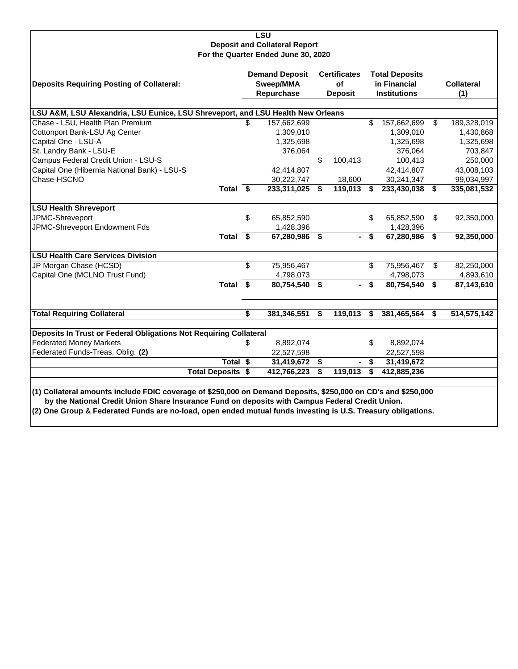| <b>LSU</b>                                                                                                    |     |                                                  |    |                                             |    |                                                              |    |                          |  |  |  |
|---------------------------------------------------------------------------------------------------------------|-----|--------------------------------------------------|----|---------------------------------------------|----|--------------------------------------------------------------|----|--------------------------|--|--|--|
| <b>Deposit and Collateral Report</b><br>For the Quarter Ended June 30, 2020                                   |     |                                                  |    |                                             |    |                                                              |    |                          |  |  |  |
| <b>Deposits Requiring Posting of Collateral:</b>                                                              |     | <b>Demand Deposit</b><br>Sweep/MMA<br>Repurchase |    | <b>Certificates</b><br>Οf<br><b>Deposit</b> |    | <b>Total Deposits</b><br>in Financial<br><b>Institutions</b> |    | <b>Collateral</b><br>(1) |  |  |  |
| LSU A&M, LSU Alexandria, LSU Eunice, LSU Shreveport, and LSU Health New Orleans                               |     |                                                  |    |                                             |    |                                                              |    |                          |  |  |  |
| Chase - LSU, Health Plan Premium                                                                              | \$. | 157,662,699                                      |    |                                             | \$ | 157,662,699                                                  | \$ | 189,328,019              |  |  |  |
| Cottonport Bank-LSU Ag Center                                                                                 |     | 1,309,010                                        |    |                                             |    | 1,309,010                                                    |    | 1,430,868                |  |  |  |
| Capital One - LSU-A                                                                                           |     | 1,325,698                                        |    |                                             |    | 1,325,698                                                    |    | 1,325,698                |  |  |  |
| St. Landry Bank - LSU-E                                                                                       |     | 376,064                                          |    |                                             |    | 376,064                                                      |    | 703,847                  |  |  |  |
| Campus Federal Credit Union - LSU-S                                                                           |     |                                                  | \$ | 100,413                                     |    | 100,413                                                      |    | 250,000                  |  |  |  |
| Capital One (Hibernia National Bank) - LSU-S                                                                  |     | 42,414,807                                       |    |                                             |    | 42,414,807                                                   |    | 43,008,103               |  |  |  |
| Chase-HSCNO                                                                                                   |     | 30,222,747                                       |    | 18,600                                      |    | 30,241,347                                                   |    | 99,034,997               |  |  |  |
| Total $\overline{\$}$                                                                                         |     | 233,311,025                                      | S. | 119,013                                     | S  | 233,430,038                                                  | \$ | 335,081,532              |  |  |  |
| <b>LSU Health Shreveport</b>                                                                                  |     |                                                  |    |                                             |    |                                                              |    |                          |  |  |  |
| JPMC-Shreveport                                                                                               | \$  | 65,852,590                                       |    |                                             | \$ | 65,852,590                                                   | \$ | 92,350,000               |  |  |  |
| JPMC-Shreveport Endowment Fds                                                                                 |     | 1,428,396                                        |    |                                             |    | 1,428,396                                                    |    |                          |  |  |  |
| Total \$                                                                                                      |     | 67,280,986                                       | \$ |                                             | \$ | 67,280,986                                                   | \$ | 92,350,000               |  |  |  |
| <b>LSU Health Care Services Division</b>                                                                      |     |                                                  |    |                                             |    |                                                              |    |                          |  |  |  |
| JP Morgan Chase (HCSD)                                                                                        | \$  | 75,956,467                                       |    |                                             | \$ | 75,956,467                                                   | \$ | 82,250,000               |  |  |  |
| Capital One (MCLNO Trust Fund)                                                                                |     | 4,798,073                                        |    |                                             |    | 4,798,073                                                    |    | 4,893,610                |  |  |  |
| Total \$                                                                                                      |     | 80,754,540                                       | \$ |                                             | \$ | 80,754,540                                                   | \$ | 87,143,610               |  |  |  |
| <b>Total Requiring Collateral</b>                                                                             | \$  | 381,346,551                                      | \$ | 119,013                                     | \$ | 381,465,564                                                  | \$ | 514,575,142              |  |  |  |
| Deposits In Trust or Federal Obligations Not Requiring Collateral                                             |     |                                                  |    |                                             |    |                                                              |    |                          |  |  |  |
| <b>Federated Money Markets</b>                                                                                | \$  | 8,892,074                                        |    |                                             | \$ | 8,892,074                                                    |    |                          |  |  |  |
| Federated Funds-Treas. Oblig. (2)                                                                             |     | 22,527,598                                       |    |                                             |    | 22,527,598                                                   |    |                          |  |  |  |
| Total \$                                                                                                      |     | 31,419,672                                       | \$ |                                             | \$ | 31,419,672                                                   |    |                          |  |  |  |
| <b>Total Deposits \$</b>                                                                                      |     | 412,766,223                                      | \$ | 119,013                                     | \$ | 412,885,236                                                  |    |                          |  |  |  |
|                                                                                                               |     |                                                  |    |                                             |    |                                                              |    |                          |  |  |  |
| (1) Collateral amounts include FDIC coverage of \$250,000 on Demand Deposits, \$250,000 on CD's and \$250,000 |     |                                                  |    |                                             |    |                                                              |    |                          |  |  |  |
| by the National Credit Union Share Insurance Fund on deposits with Campus Federal Credit Union.               |     |                                                  |    |                                             |    |                                                              |    |                          |  |  |  |
| (2) One Group & Federated Funds are no-load, open ended mutual funds investing is U.S. Treasury obligations.  |     |                                                  |    |                                             |    |                                                              |    |                          |  |  |  |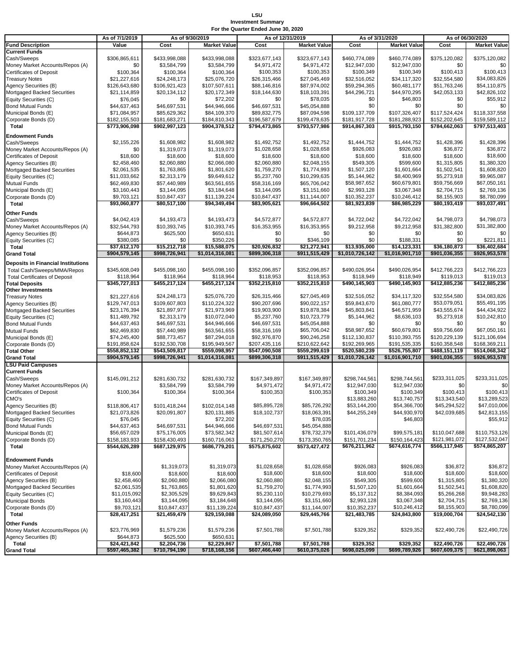### **LSU Investment Summary For the Quarter Ended June 30, 2020**

|                                                      | As of 7/1/2019                |                               | As of 9/30/2019               | As of 12/31/2019             |                              | As of 3/31/2020               |                              | As of 06/30/2020             |                              |
|------------------------------------------------------|-------------------------------|-------------------------------|-------------------------------|------------------------------|------------------------------|-------------------------------|------------------------------|------------------------------|------------------------------|
| <b>Fund Description</b>                              | Value                         | Cost                          | <b>Market Value</b>           | Cost                         | <b>Market Value</b>          | Cost                          | <b>Market Value</b>          | Cost                         | <b>Market Value</b>          |
| <b>Current Funds</b>                                 |                               |                               |                               |                              |                              |                               |                              |                              |                              |
| Cash/Sweeps                                          | \$306,865,611                 | \$433,998,088                 | \$433,998,088                 | \$323,677,143                | \$323,677,143                | \$460,774,089                 | \$460,774,089                | \$375,120,082                | \$375,120,082                |
| Money Market Accounts/Repos (A)                      | \$0                           | \$3,584,799                   | \$3,584,799                   | \$4,971,472                  | \$4,971,472                  | \$12,947,030                  | \$12,947,030                 | \$0                          | \$0                          |
| Certificates of Deposit                              | \$100,364                     | \$100,364                     | \$100,364                     | \$100,353                    | \$100,353                    | \$100,349                     | \$100,349                    | \$100,413                    | \$100,413                    |
| <b>Treasury Notes</b><br>Agency Securities (B)       | \$21,227,616<br>\$126,643,680 | \$24,248,173                  | \$25,076,720<br>\$107,507,611 | \$26,315,466<br>\$88,146,816 | \$27,045,469<br>\$87.974.002 | \$32,516,052<br>\$59,294,365  | \$34,117,320<br>\$60,481,177 | \$32,554,580<br>\$51,763,246 | \$34,083,826<br>\$54,110,875 |
| Mortgaged Backed Securities                          | \$21,114,859                  | \$106,921,423<br>\$20,134,112 | \$20,172,349                  | \$18,144,630                 | \$18,103,391                 | \$44,296,721                  | \$44,970,295                 | \$42,053,133                 | \$42,826,102                 |
| Equity Securities (C)                                | \$76,045                      | \$0                           | \$72,202                      | \$0                          | \$78,035                     | \$0                           | \$46,803                     | \$0                          | \$55,912                     |
| <b>Bond Mutual Funds</b>                             | \$44,637,463                  | \$46,697,531                  | \$44,946,666                  | \$46,697,531                 | \$45,054,888                 | \$0                           | \$0                          | \$0                          | \$0                          |
| Municipal Bonds (E)                                  | \$71,084,957                  | \$85,629,362                  | \$84,109,370                  | \$89,832,775                 | \$87,094,598                 | \$109,137,709                 | \$107,326,407                | \$117,524,424                | \$118,337,558                |
| Corporate Bonds (D)                                  | \$182,155,503                 | \$181,683,271                 | \$184,810,343                 | \$196,587,679                | \$199,478,635                | \$181,917,728                 | \$181,288,923                | \$152.202.645                | \$159,589,112                |
| Total                                                | \$773,906,098                 | \$902,997,123                 | \$904,378,512                 | \$794,473,865                | \$793,577,986                | \$914,867,303                 | \$915,793,150                | \$784,662,063                | \$797,513,403                |
| <b>Endowment Funds</b>                               |                               |                               |                               |                              |                              |                               |                              |                              |                              |
| Cash/Sweeps                                          | \$2,155,226                   | \$1,608,982                   | \$1,608,982                   | \$1,492,752                  | \$1,492,752                  | \$1,444,752                   | \$1,444,752                  | \$1,428,396                  | \$1,428,396                  |
| Money Market Accounts/Repos (A)                      | \$0                           | \$1,319,073                   | \$1,319,073                   | \$1,028,658                  | \$1,028,658                  | \$926,083                     | \$926,083                    | \$36,872                     | \$36,872                     |
| <b>Certificates of Deposit</b>                       | \$18,600                      | \$18,600                      | \$18,600                      | \$18,600                     | \$18,600                     | \$18,600                      | \$18,600                     | \$18,600                     | \$18,600                     |
| Agency Securities (B)                                | \$2,458,460                   | \$2,060,880                   | \$2,066,080                   | \$2,060,880                  | \$2,048,155                  | \$549,305                     | \$599,600                    | \$1,315,805                  | \$1,380,320                  |
| Mortgaged Backed Securities                          | \$2,061,535                   | \$1,763,865                   | \$1,801,620                   | \$1,759,270                  | \$1,774,993                  | \$1,507,120                   | \$1,601,664                  | \$1,502,541                  | \$1,608,820                  |
| Equity Securities (C)                                | \$11,033,662                  | \$2,313,179                   | \$9,649,612                   | \$5,237,760                  | \$10,299,635                 | \$5,144,962                   | \$8,400,969                  | \$5,273,918                  | \$9,965,087                  |
| <b>Mutual Funds</b>                                  | \$62,469,830                  | \$57,440,989                  | \$63,561,655                  | \$58,316,169                 | \$65,706,042                 | \$58,987,652                  | \$60,679,801                 | \$59,756,669                 | \$67,050,161                 |
| Municipal Bonds (E)<br>Corporate Bonds (D)           | \$3,160,443<br>\$9,703,121    | \$3,144,095<br>\$10,847,437   | \$3,184,648<br>\$11,139,224   | \$3,144,095<br>\$10,847,437  | \$3,151,660<br>\$11,144,007  | \$2,993,128<br>\$10,352,237   | \$3,067,348<br>\$10,246,412  | \$2,704,715<br>\$8,155,903   | \$2,769,136<br>\$8,780,099   |
| Total                                                | \$93,060,877                  | \$80,517,100                  | \$94,349,494                  | \$83,905,621                 | \$96,664,502                 | \$81,923,839                  | \$86,985,229                 | \$80,193,419                 | \$93,037,491                 |
|                                                      |                               |                               |                               |                              |                              |                               |                              |                              |                              |
| <b>Other Funds</b>                                   |                               |                               |                               |                              |                              |                               |                              |                              |                              |
| Cash/Sweeps                                          | \$4.042.419<br>\$32,544,793   | \$4,193,473                   | \$4,193,473                   | \$4,572,877                  | \$4,572,877                  | \$4,722,042                   | \$4,722,042                  | \$4,798,073                  | \$4,798,073                  |
| Money Market Accounts/Repos (A)                      | \$644,873                     | \$10,393,745<br>\$625,500     | \$10,393,745<br>\$650,631     | \$16,353,955<br>\$0          | \$16,353,955<br>\$0          | \$9,212,958<br>\$0            | \$9,212,958<br>\$0           | \$31,382,800<br>\$0          | \$31,382,800<br>\$0          |
| Agency Securities (B)<br>Equity Securities (C)       | \$380,085                     | \$0                           | \$350,226                     | \$0                          | \$346,109                    | \$0                           | \$188,331                    | \$0                          | \$221,811                    |
| Total                                                | \$37,612,170                  | \$15,212,718                  | \$15,588,075                  | \$20,926,832                 | \$21.272.941                 | \$13,935,000                  | \$14,123,331                 | \$36,180,873                 | \$36,402,684                 |
| <b>Grand Total</b>                                   | \$904,579,145                 | \$998,726,941                 | \$1,014,316,081               | \$899,306,318                | \$911,515,429                | \$1,010,726,142               | \$1,016,901,710              | \$901,036,355                | \$926,953,578                |
| Deposits in Financial Institutions                   |                               |                               |                               |                              |                              |                               |                              |                              |                              |
| Total Cash/Sweeps/MMA/Repos                          | \$345,608,049                 | \$455,098,160                 | \$455,098,160                 | \$352,096,857                | \$352,096,857                | \$490.026.954                 | \$490,026,954                | \$412,766,223                | \$412,766,223                |
| <b>Total Certificates of Deposit</b>                 | \$118,964                     | \$118,964                     | \$118,964                     | \$118,953                    | \$118,953                    | \$118,949                     | \$118,949                    | \$119,013                    | \$119,013                    |
| <b>Total Deposits</b>                                | \$345,727,013                 | \$455,217,124                 | \$455,217,124                 | \$352,215,810                | \$352,215,810                | \$490,145,903                 | \$490,145,903                | \$412,885,236                | \$412,885,236                |
| <b>Other Investments</b>                             |                               |                               |                               |                              |                              |                               |                              |                              |                              |
| <b>Treasury Notes</b>                                | \$21,227,616                  | \$24,248,173                  | \$25,076,720                  | \$26,315,466                 | \$27,045,469                 | \$32,516,052                  | \$34,117,320                 | \$32,554,580                 | \$34,083,826                 |
| Agency Securities (B)                                | \$129,747,013                 | \$109,607,803                 | \$110,224,322                 | \$90,207,696                 | \$90,022,157                 | \$59,843,670                  | \$61,080,777                 | \$53,079,051                 | \$55,491,195                 |
| Mortgaged Backed Securities                          | \$23,176,394                  | \$21,897,977                  | \$21,973,969                  | \$19,903,900                 | \$19,878,384                 | \$45,803,841                  | \$46,571,959                 | \$43,555,674                 | \$44,434,922                 |
| Equity Securities (C)                                | \$11,489,792                  | \$2,313,179                   | \$10,072,040                  | \$5,237,760                  | \$10,723,779                 | \$5,144,962                   | \$8,636,103                  | \$5,273,918                  | \$10,242,810                 |
| <b>Bond Mutual Funds</b>                             | \$44,637,463                  | \$46,697,531                  | \$44,946,666<br>\$63,561,655  | \$46,697,531                 | \$45,054,888<br>\$65,706,042 | \$0                           | \$0<br>\$60,679,801          | \$0<br>\$59,756,669          | \$0<br>\$67,050,161          |
| Mutual Funds<br>Municipal Bonds (E)                  | \$62,469,830<br>\$74,245,400  | \$57,440,989<br>\$88,773,457  | \$87,294,018                  | \$58,316,169<br>\$92,976,870 | \$90,246,258                 | \$58,987,652<br>\$112,130,837 | \$110,393,755                | \$120,229,139                | \$121,106,694                |
| Corporate Bonds (D)                                  | \$191,858,624                 | \$192,530,708                 | \$195,949,567                 | \$207,435,116                | \$210,622,642                | \$192,269,965                 | \$191,535,335                | \$160,358,548                | \$168,369,211                |
| <b>Total Other</b>                                   | \$558,852,132                 | \$543,509,817                 | \$559,098,957                 | \$547,090,508                | \$559,299,619                | \$520,580,239                 | \$526,755,807                | \$488,151,119                | \$514,068,342                |
| <b>Grand Total</b>                                   | \$904,579,145                 | \$998,726,941                 | \$1,014,316,081               | \$899,306,318                | \$911,515,429                | \$1,010,726,142               | \$1,016,901,710              | \$901,036,355                | \$926,953,578                |
| <b>LSU Paid Campuses</b>                             |                               |                               |                               |                              |                              |                               |                              |                              |                              |
| <b>Current Funds</b>                                 |                               |                               |                               |                              |                              |                               |                              |                              |                              |
| Cash/Sweeps                                          | \$145,091,212                 | \$281,630,732                 | \$281,630,732                 | \$167,349,897                | \$167,349,897                | \$298,744,561                 | \$298,744,561                | \$233,311,025                | \$233,311,025                |
| Money Market Accounts/Repos (A)                      |                               | \$3,584,799                   | \$3,584,799                   | \$4,971,472                  | \$4,971,472                  | \$12,947,030                  | \$12,947,030                 | \$0                          | \$0                          |
| Certificates of Deposit                              | \$100,364                     | \$100,364                     | \$100,364                     | \$100,353                    | \$100,353                    | \$100,349                     | \$100,349                    | \$100,413                    | \$100,413                    |
| CMO's                                                |                               |                               |                               |                              |                              | \$13,883,260                  | \$13,740,757                 | \$13,343,540                 | \$13,289,523                 |
| Agency Securities (B)                                | \$118,806,417                 | \$101,418,244                 | \$102,014,148                 | \$85,895,728                 | \$85,726,292                 | \$53,144,200                  | \$54,366,700                 | \$45,294,522                 | \$47,010,006                 |
| Mortgaged Backed Securities<br>Equity Securities (C) | \$21,073,826<br>\$76,045      | \$20,091,807                  | \$20,131,885<br>\$72,202      | \$18,102,731                 | \$18,063,391<br>\$78,035     | \$44,255,249                  | \$44,930,970<br>\$46,803     | \$42,039,685                 | \$42,813,155<br>\$55,912     |
| <b>Bond Mutual Funds</b>                             | \$44,637,463                  | \$46,697,531                  | \$44,946,666                  | \$46,697,531                 | \$45,054,888                 |                               |                              |                              |                              |
| Municipal Bonds (E)                                  | \$56,657,029                  | \$75,176,005                  | \$73,582,342                  | \$81,507,614                 | \$78,732,379                 | \$101,436,079                 | \$99,575,181                 | \$110,047,688                | \$110,753,126                |
| Corporate Bonds (D)                                  | \$158,183,933                 | \$158,430,493                 | \$160,716,063                 | \$171,250,270                | \$173,350,765                | \$151,701,234                 | \$150,164,423                | \$121,981,072                | \$127,532,047                |
| Total                                                | \$544,626,289                 | \$687,129,975                 | \$686,779,201                 | \$575,875,602                | \$573,427,472                | \$676,211,962                 | \$674,616,774                | \$566,117,945                | \$574,865,207                |
|                                                      |                               |                               |                               |                              |                              |                               |                              |                              |                              |
| <b>Endowment Funds</b>                               |                               |                               |                               |                              |                              |                               |                              |                              |                              |
| Money Market Accounts/Repos (A)                      |                               | \$1,319,073                   | \$1,319,073                   | \$1,028,658                  | \$1,028,658                  | \$926,083                     | \$926,083                    | \$36,872                     | \$36,872                     |
| <b>Certificates of Deposit</b>                       | \$18,600                      | \$18,600                      | \$18,600                      | \$18,600                     | \$18,600                     | \$18,600                      | \$18,600                     | \$18,600                     | \$18,600                     |
| Agency Securities (B)                                | \$2,458,460                   | \$2,060,880                   | \$2,066,080                   | \$2,060,880                  | \$2,048,155                  | \$549,305                     | \$599,600                    | \$1,315,805                  | \$1,380,320                  |
| Mortgaged Backed Securities                          | \$2,061,535                   | \$1,763,865                   | \$1,801,620                   | \$1,759,270                  | \$1,774,993                  | \$1,507,120                   | \$1,601,664                  | \$1,502,541                  | \$1,608,820                  |
| Equity Securities (C)<br><b>Municipal Bonds</b>      | \$11,015,092<br>\$3,160,443   | \$2,305,529<br>\$3,144,095    | \$9,629,843<br>\$3,184,648    | \$5,230,110<br>\$3,144,095   | \$10,279,693<br>\$3,151,660  | \$5,137,312<br>\$2,993,128    | \$8,384,093<br>\$3,067,348   | \$5,266,268<br>\$2,704,715   | \$9,948,283<br>\$2,769,136   |
| Corporate Bonds (D)                                  | \$9,703,121                   | \$10,847,437                  | \$11,139,224                  | \$10,847,437                 | \$11,144,007                 | \$10,352,237                  | \$10,246,412                 | \$8,155,903                  | \$8,780,099                  |
| Total                                                | \$28,417,251                  | \$21,459,479                  | \$29,159,088                  | \$24,089,050                 | \$29,445,766                 | \$21,483,785                  | \$24,843,800                 | \$19,000,704                 | \$24,542,130                 |
|                                                      |                               |                               |                               |                              |                              |                               |                              |                              |                              |
| Other Funds<br>Money Market Accounts/Repos (A)       | \$23,776,969                  | \$1,579,236                   | \$1,579,236                   | \$7,501,788                  | \$7,501,788                  | \$329,352                     | \$329,352                    | \$22,490,726                 | \$22,490,726                 |
| Agency Securities (B)                                | \$644,873                     | \$625,500                     | \$650,631                     |                              |                              |                               |                              |                              |                              |
| Total                                                | \$24,421,842                  | \$2,204,736                   | \$2,229,867                   | \$7,501,788                  | \$7,501,788                  | \$329,352                     | \$329,352                    | \$22,490,726                 | \$22,490,726                 |
| <b>Grand Total</b>                                   | \$597,465,382                 | \$710,794,190                 | \$718,168,156                 | \$607,466,440                | \$610,375,026                | \$698,025,099                 | \$699,789,926                | \$607,609,375                | \$621,898,063                |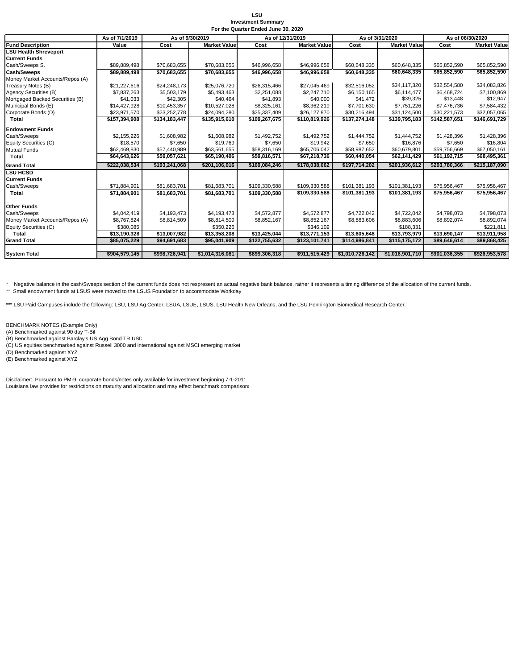### **LSU Investment Summary For the Quarter Ended June 30, 2020**

|                                 | As of 7/1/2019 | As of 9/30/2019 |                     | As of 12/31/2019 |                     |                 | As of 3/31/2020     | As of 06/30/2020 |                     |
|---------------------------------|----------------|-----------------|---------------------|------------------|---------------------|-----------------|---------------------|------------------|---------------------|
| <b>Fund Description</b>         | Value          | Cost            | <b>Market Value</b> | Cost             | <b>Market Value</b> | Cost            | <b>Market Value</b> | Cost             | <b>Market Value</b> |
| <b>LSU Health Shreveport</b>    |                |                 |                     |                  |                     |                 |                     |                  |                     |
| <b>Current Funds</b>            |                |                 |                     |                  |                     |                 |                     |                  |                     |
| Cash/Sweeps S.                  | \$89,889,498   | \$70,683,655    | \$70,683,655        | \$46,996,658     | \$46,996,658        | \$60,648,335    | \$60,648,335        | \$65,852,590     | \$65,852,590        |
| <b>Cash/Sweeps</b>              | \$89,889,498   | \$70,683,655    | \$70,683,655        | \$46,996,658     | \$46,996,658        | \$60,648,335    | \$60,648,335        | \$65,852,590     | \$65,852,590        |
| Money Market Accounts/Repos (A) |                |                 |                     |                  |                     |                 |                     |                  |                     |
| Treasury Notes (B)              | \$21,227,616   | \$24,248,173    | \$25,076,720        | \$26,315,466     | \$27,045,469        | \$32,516,052    | \$34,117,320        | \$32,554,580     | \$34,083,826        |
| <b>Agency Securities (B)</b>    | \$7,837,263    | \$5,503,179     | \$5,493,463         | \$2,251,088      | \$2,247,710         | \$6,150,165     | \$6,114,477         | \$6,468,724      | \$7,100,869         |
| Mortgaged Backed Securities (B) | \$41,033       | \$42,305        | \$40,464            | \$41,893         | \$40,000            | \$41,472        | \$39,325            | \$13,448         | \$12,947            |
| Municipal Bonds (E)             | \$14,427,928   | \$10,453,357    | \$10,527,028        | \$8,325,161      | \$8,362,219         | \$7,701,630     | \$7,751,226         | \$7,476,736      | \$7,584,432         |
| Corporate Bonds (D)             | \$23,971,570   | \$23,252,778    | \$24,094,280        | \$25,337,409     | \$26,127,870        | \$30,216,494    | \$31,124,500        | \$30,221,573     | \$32,057,065        |
| <b>Total</b>                    | \$157,394,908  | \$134,183,447   | \$135,915,610       | \$109,267,675    | \$110,819,926       | \$137,274,148   | \$139,795,183       | \$142,587,651    | \$146,691,729       |
| <b>Endowment Funds</b>          |                |                 |                     |                  |                     |                 |                     |                  |                     |
| Cash/Sweeps                     | \$2,155,226    | \$1,608,982     | \$1,608,982         | \$1,492,752      | \$1,492,752         | \$1,444,752     | \$1,444,752         | \$1,428,396      | \$1,428,396         |
| Equity Securities (C)           | \$18,570       | \$7,650         | \$19,769            | \$7,650          | \$19,942            | \$7,650         | \$16,876            | \$7,650          | \$16,804            |
| Mutual Funds                    | \$62,469,830   | \$57,440,989    | \$63,561,655        | \$58,316,169     | \$65,706,042        | \$58,987,652    | \$60,679,801        | \$59,756,669     | \$67,050,161        |
| Total                           | \$64,643,626   | \$59,057,621    | \$65,190,406        | \$59,816,571     | \$67,218,736        | \$60,440,054    | \$62,141,429        | \$61,192,715     | \$68,495,361        |
| <b>Grand Total</b>              | \$222,038,534  | \$193,241,068   | \$201,106,016       | \$169,084,246    | \$178,038,662       | \$197,714,202   | \$201,936,612       | \$203,780,366    | \$215,187,090       |
| <b>LSU HCSD</b>                 |                |                 |                     |                  |                     |                 |                     |                  |                     |
| <b>Current Funds</b>            |                |                 |                     |                  |                     |                 |                     |                  |                     |
| Cash/Sweeps                     | \$71,884,901   | \$81,683,701    | \$81,683,701        | \$109,330,588    | \$109,330,588       | \$101,381,193   | \$101,381,193       | \$75,956,467     | \$75,956,467        |
| Total                           | \$71,884,901   | \$81.683.701    | \$81,683,701        | \$109.330.588    | \$109,330,588       | \$101,381,193   | \$101,381,193       | \$75,956,467     | \$75,956,467        |
|                                 |                |                 |                     |                  |                     |                 |                     |                  |                     |
| Other Funds                     |                |                 |                     |                  |                     |                 |                     |                  |                     |
| Cash/Sweeps                     | \$4,042,419    | \$4,193,473     | \$4,193,473         | \$4,572,877      | \$4,572,877         | \$4,722,042     | \$4,722,042         | \$4,798,073      | \$4,798,073         |
| Money Market Accounts/Repos (A) | \$8,767,824    | \$8,814,509     | \$8,814,509         | \$8,852,167      | \$8,852,167         | \$8,883,606     | \$8,883,606         | \$8,892,074      | \$8,892,074         |
| Equity Securities (C)           | \$380,085      |                 | \$350,226           |                  | \$346,109           |                 | \$188,331           |                  | \$221,811           |
| <b>Total</b>                    | \$13,190,328   | \$13,007,982    | \$13,358,208        | \$13,425,044     | \$13,771,153        | \$13,605,648    | \$13,793,979        | \$13,690,147     | \$13,911,958        |
| <b>Grand Total</b>              | \$85,075,229   | \$94,691,683    | \$95,041,909        | \$122,755,632    | \$123,101,741       | \$114,986,841   | \$115,175,172       | \$89,646,614     | \$89,868,425        |
|                                 |                |                 |                     |                  |                     |                 |                     |                  |                     |
| <b>System Total</b>             | \$904,579,145  | \$998,726,941   | \$1,014,316,081     | \$899,306,318    | \$911,515,429       | \$1,010,726,142 | \$1,016,901,710     | \$901,036,355    | \$926,953,578       |

\* Negative balance in the cash/Sweeps section of the current funds does not respresent an actual negative bank balance, rather it represents a timing difference of the allocation of the current funds. \*\* Small endowment funds at LSUS were moved to the LSUS Foundation to accommodate Workday

\*\*\* LSU Paid Campuses include the following: LSU, LSU Ag Center, LSUA, LSUE, LSUS, LSU Health New Orleans, and the LSU Pennington Biomedical Research Center.

BENCHMARK NOTES (Example Only)

(A) Benchmarked against 90 day T-Bil

(B) Benchmarked against Barclay's US Agg Bond TR USD

(C) US equities benchmarked against Russell 3000 and international against MSCI emerging market

(D) Benchmarked against XYZ

(E) Benchmarked against XYZ

Disclaimer: Pursuant to PM-9, corporate bonds/notes only available for investment beginning 7-1-2011 Louisiana law provides for restrictions on maturity and allocation and may effect benchmark comparisons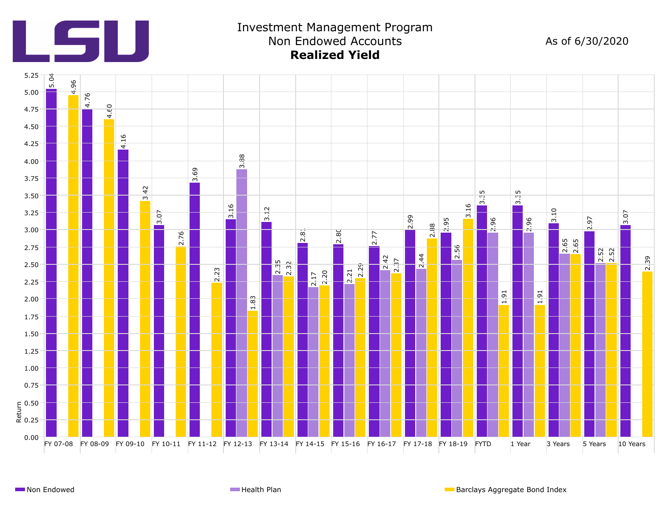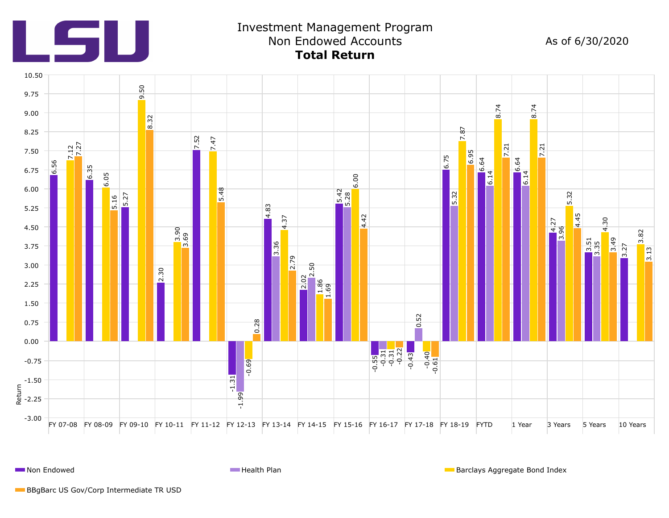

**Non Endowed Health Plan Barclays Aggregate Bond Index Health Plan** Barclays Aggregate Bond Index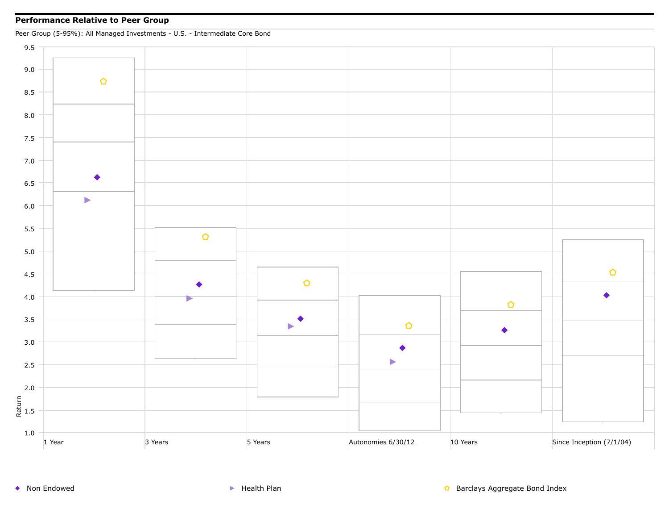## **Performance Relative to Peer Group**

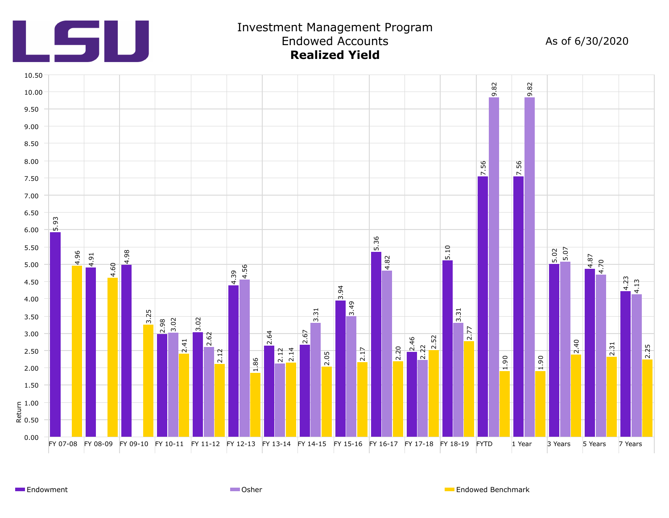



# Investment Management Program Endowed Accounts

As of 6/30/2020